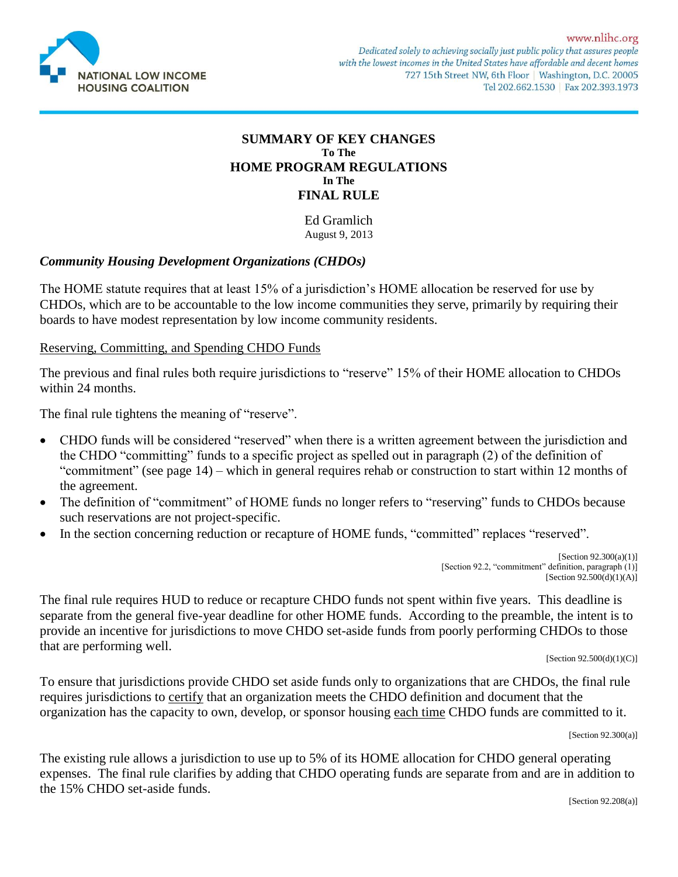

#### **SUMMARY OF KEY CHANGES To The HOME PROGRAM REGULATIONS In The FINAL RULE**

Ed Gramlich August 9, 2013

## *Community Housing Development Organizations (CHDOs)*

The HOME statute requires that at least 15% of a jurisdiction's HOME allocation be reserved for use by CHDOs, which are to be accountable to the low income communities they serve, primarily by requiring their boards to have modest representation by low income community residents.

#### Reserving, Committing, and Spending CHDO Funds

The previous and final rules both require jurisdictions to "reserve" 15% of their HOME allocation to CHDOs within 24 months.

The final rule tightens the meaning of "reserve".

- CHDO funds will be considered "reserved" when there is a written agreement between the jurisdiction and the CHDO "committing" funds to a specific project as spelled out in paragraph (2) of the definition of "commitment" (see page 14) – which in general requires rehab or construction to start within 12 months of the agreement.
- The definition of "commitment" of HOME funds no longer refers to "reserving" funds to CHDOs because such reservations are not project-specific.
- In the section concerning reduction or recapture of HOME funds, "committed" replaces "reserved".

[Section  $92.300(a)(1)$ ] [Section 92.2, "commitment" definition, paragraph (1)] [Section  $92.500(d)(1)(A)$ ]

The final rule requires HUD to reduce or recapture CHDO funds not spent within five years. This deadline is separate from the general five-year deadline for other HOME funds. According to the preamble, the intent is to provide an incentive for jurisdictions to move CHDO set-aside funds from poorly performing CHDOs to those that are performing well.

 $[Section 92.500(d)(1)(C)]$ 

To ensure that jurisdictions provide CHDO set aside funds only to organizations that are CHDOs, the final rule requires jurisdictions to certify that an organization meets the CHDO definition and document that the organization has the capacity to own, develop, or sponsor housing each time CHDO funds are committed to it.

[Section  $92.300(a)$ ]

The existing rule allows a jurisdiction to use up to 5% of its HOME allocation for CHDO general operating expenses. The final rule clarifies by adding that CHDO operating funds are separate from and are in addition to the 15% CHDO set-aside funds.

[Section 92.208(a)]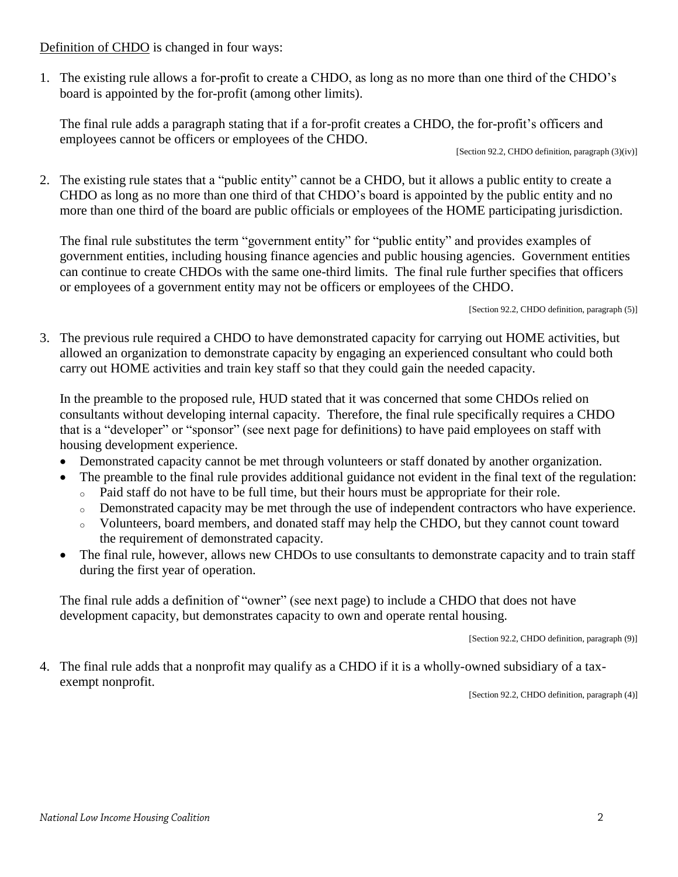Definition of CHDO is changed in four ways:

1. The existing rule allows a for-profit to create a CHDO, as long as no more than one third of the CHDO's board is appointed by the for-profit (among other limits).

The final rule adds a paragraph stating that if a for-profit creates a CHDO, the for-profit's officers and employees cannot be officers or employees of the CHDO.

[Section 92.2, CHDO definition, paragraph  $(3)(iv)$ ]

2. The existing rule states that a "public entity" cannot be a CHDO, but it allows a public entity to create a CHDO as long as no more than one third of that CHDO's board is appointed by the public entity and no more than one third of the board are public officials or employees of the HOME participating jurisdiction.

The final rule substitutes the term "government entity" for "public entity" and provides examples of government entities, including housing finance agencies and public housing agencies. Government entities can continue to create CHDOs with the same one-third limits. The final rule further specifies that officers or employees of a government entity may not be officers or employees of the CHDO.

[Section 92.2, CHDO definition, paragraph  $(5)$ ]

3. The previous rule required a CHDO to have demonstrated capacity for carrying out HOME activities, but allowed an organization to demonstrate capacity by engaging an experienced consultant who could both carry out HOME activities and train key staff so that they could gain the needed capacity.

In the preamble to the proposed rule, HUD stated that it was concerned that some CHDOs relied on consultants without developing internal capacity. Therefore, the final rule specifically requires a CHDO that is a "developer" or "sponsor" (see next page for definitions) to have paid employees on staff with housing development experience.

- Demonstrated capacity cannot be met through volunteers or staff donated by another organization.
- The preamble to the final rule provides additional guidance not evident in the final text of the regulation:
	- <sup>o</sup> Paid staff do not have to be full time, but their hours must be appropriate for their role.
	- <sup>o</sup> Demonstrated capacity may be met through the use of independent contractors who have experience.
	- <sup>o</sup> Volunteers, board members, and donated staff may help the CHDO, but they cannot count toward the requirement of demonstrated capacity.
- The final rule, however, allows new CHDOs to use consultants to demonstrate capacity and to train staff during the first year of operation.

The final rule adds a definition of "owner" (see next page) to include a CHDO that does not have development capacity, but demonstrates capacity to own and operate rental housing.

[Section 92.2, CHDO definition, paragraph (9)]

4. The final rule adds that a nonprofit may qualify as a CHDO if it is a wholly-owned subsidiary of a taxexempt nonprofit.

[Section 92.2, CHDO definition, paragraph (4)]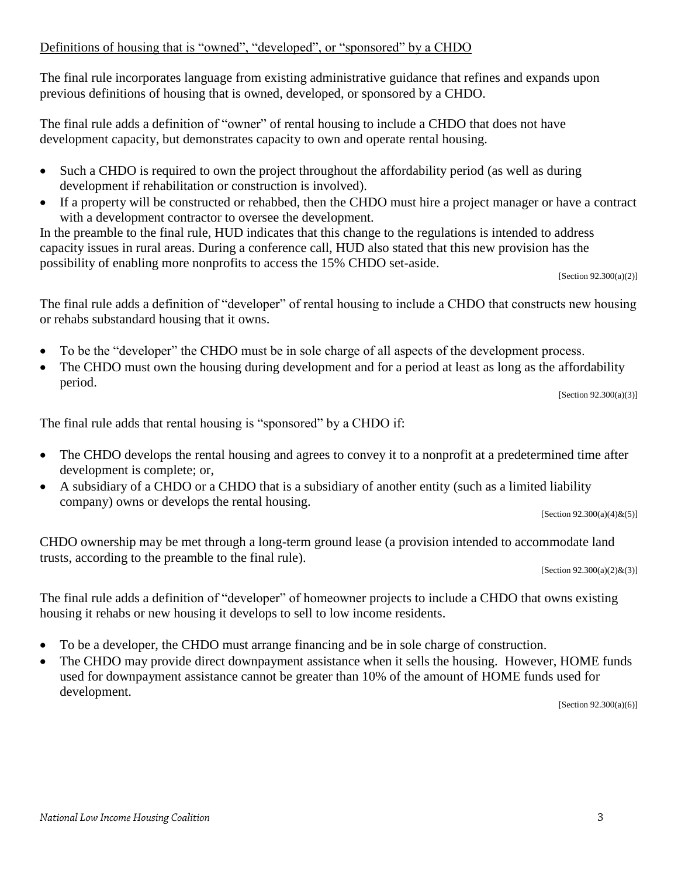## Definitions of housing that is "owned", "developed", or "sponsored" by a CHDO

The final rule incorporates language from existing administrative guidance that refines and expands upon previous definitions of housing that is owned, developed, or sponsored by a CHDO.

The final rule adds a definition of "owner" of rental housing to include a CHDO that does not have development capacity, but demonstrates capacity to own and operate rental housing.

- Such a CHDO is required to own the project throughout the affordability period (as well as during development if rehabilitation or construction is involved).
- If a property will be constructed or rehabbed, then the CHDO must hire a project manager or have a contract with a development contractor to oversee the development.

In the preamble to the final rule, HUD indicates that this change to the regulations is intended to address capacity issues in rural areas. During a conference call, HUD also stated that this new provision has the possibility of enabling more nonprofits to access the 15% CHDO set-aside.

[Section 92.300(a)(2)]

The final rule adds a definition of "developer" of rental housing to include a CHDO that constructs new housing or rehabs substandard housing that it owns.

- To be the "developer" the CHDO must be in sole charge of all aspects of the development process.
- The CHDO must own the housing during development and for a period at least as long as the affordability period.

[Section  $92.300(a)(3)$ ]

The final rule adds that rental housing is "sponsored" by a CHDO if:

- The CHDO develops the rental housing and agrees to convey it to a nonprofit at a predetermined time after development is complete; or,
- A subsidiary of a CHDO or a CHDO that is a subsidiary of another entity (such as a limited liability company) owns or develops the rental housing.

 $[Section 92.300(a)(4) \& (5)]$ 

CHDO ownership may be met through a long-term ground lease (a provision intended to accommodate land trusts, according to the preamble to the final rule).

[Section  $92.300(a)(2)$ &(3)]

The final rule adds a definition of "developer" of homeowner projects to include a CHDO that owns existing housing it rehabs or new housing it develops to sell to low income residents.

- To be a developer, the CHDO must arrange financing and be in sole charge of construction.
- The CHDO may provide direct downpayment assistance when it sells the housing. However, HOME funds used for downpayment assistance cannot be greater than 10% of the amount of HOME funds used for development.

[Section 92.300(a)(6)]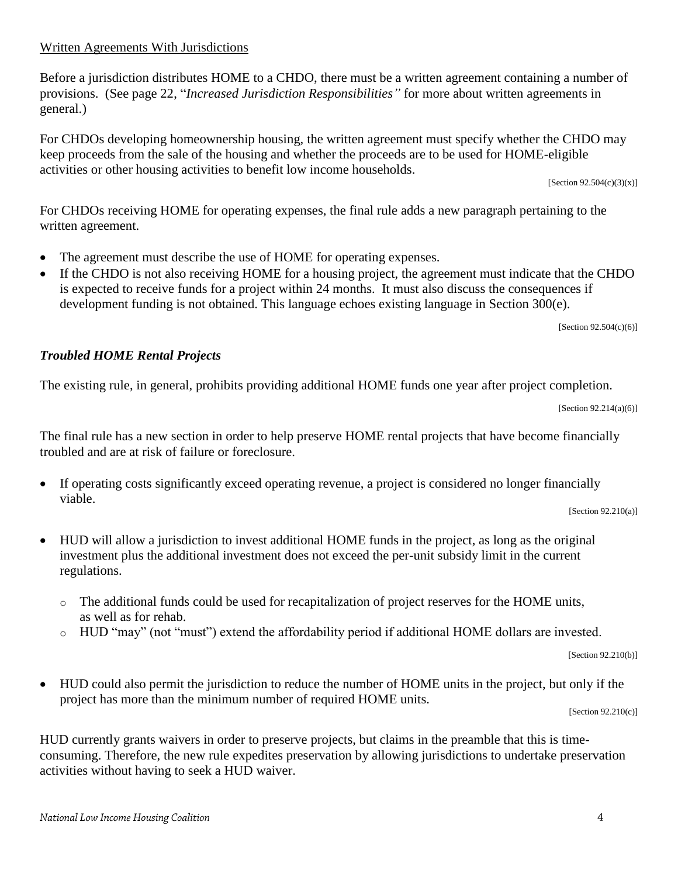# Written Agreements With Jurisdictions

Before a jurisdiction distributes HOME to a CHDO, there must be a written agreement containing a number of provisions. (See page 22, "*Increased Jurisdiction Responsibilities"* for more about written agreements in general.)

For CHDOs developing homeownership housing, the written agreement must specify whether the CHDO may keep proceeds from the sale of the housing and whether the proceeds are to be used for HOME-eligible activities or other housing activities to benefit low income households.

[Section 92.504(c)(3)(x)]

For CHDOs receiving HOME for operating expenses, the final rule adds a new paragraph pertaining to the written agreement.

- The agreement must describe the use of HOME for operating expenses.
- If the CHDO is not also receiving HOME for a housing project, the agreement must indicate that the CHDO is expected to receive funds for a project within 24 months. It must also discuss the consequences if development funding is not obtained. This language echoes existing language in Section 300(e).

[Section 92.504(c)(6)]

#### *Troubled HOME Rental Projects*

The existing rule, in general, prohibits providing additional HOME funds one year after project completion.

[Section  $92.214(a)(6)$ ]

The final rule has a new section in order to help preserve HOME rental projects that have become financially troubled and are at risk of failure or foreclosure.

 If operating costs significantly exceed operating revenue, a project is considered no longer financially viable.

 $[Section 92.210(a)]$ 

- HUD will allow a jurisdiction to invest additional HOME funds in the project, as long as the original investment plus the additional investment does not exceed the per-unit subsidy limit in the current regulations.
	- $\circ$  The additional funds could be used for recapitalization of project reserves for the HOME units, as well as for rehab.
	- o HUD "may" (not "must") extend the affordability period if additional HOME dollars are invested.

[Section 92.210(b)]

 HUD could also permit the jurisdiction to reduce the number of HOME units in the project, but only if the project has more than the minimum number of required HOME units.

 $[Section 92.210(c)]$ 

HUD currently grants waivers in order to preserve projects, but claims in the preamble that this is timeconsuming. Therefore, the new rule expedites preservation by allowing jurisdictions to undertake preservation activities without having to seek a HUD waiver.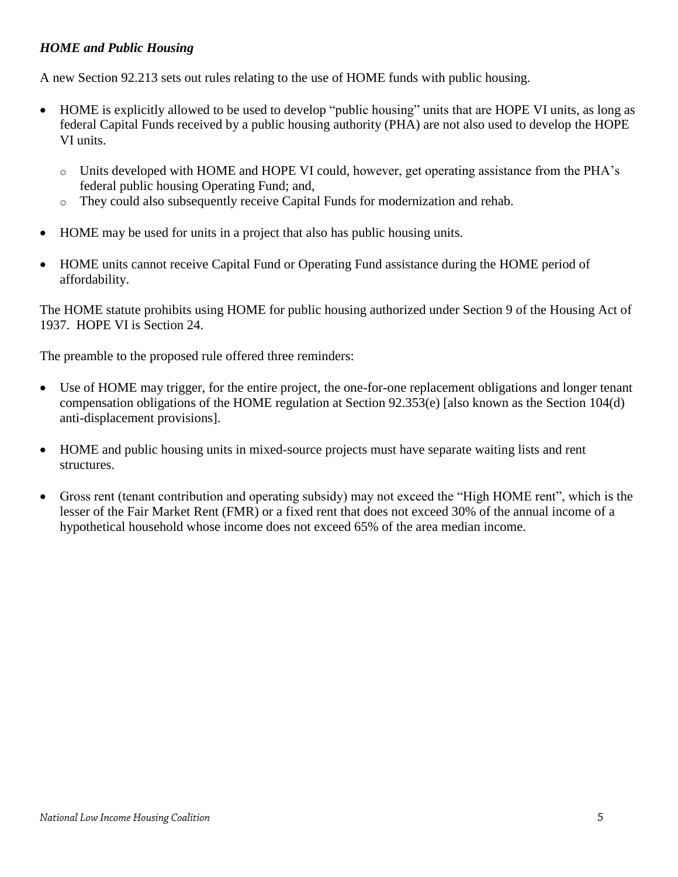## *HOME and Public Housing*

A new Section 92.213 sets out rules relating to the use of HOME funds with public housing.

- HOME is explicitly allowed to be used to develop "public housing" units that are HOPE VI units, as long as federal Capital Funds received by a public housing authority (PHA) are not also used to develop the HOPE VI units.
	- o Units developed with HOME and HOPE VI could, however, get operating assistance from the PHA's federal public housing Operating Fund; and,
	- o They could also subsequently receive Capital Funds for modernization and rehab.
- HOME may be used for units in a project that also has public housing units.
- HOME units cannot receive Capital Fund or Operating Fund assistance during the HOME period of affordability.

The HOME statute prohibits using HOME for public housing authorized under Section 9 of the Housing Act of 1937. HOPE VI is Section 24.

The preamble to the proposed rule offered three reminders:

- Use of HOME may trigger, for the entire project, the one-for-one replacement obligations and longer tenant compensation obligations of the HOME regulation at Section 92.353(e) [also known as the Section 104(d) anti-displacement provisions].
- HOME and public housing units in mixed-source projects must have separate waiting lists and rent structures.
- Gross rent (tenant contribution and operating subsidy) may not exceed the "High HOME rent", which is the lesser of the Fair Market Rent (FMR) or a fixed rent that does not exceed 30% of the annual income of a hypothetical household whose income does not exceed 65% of the area median income.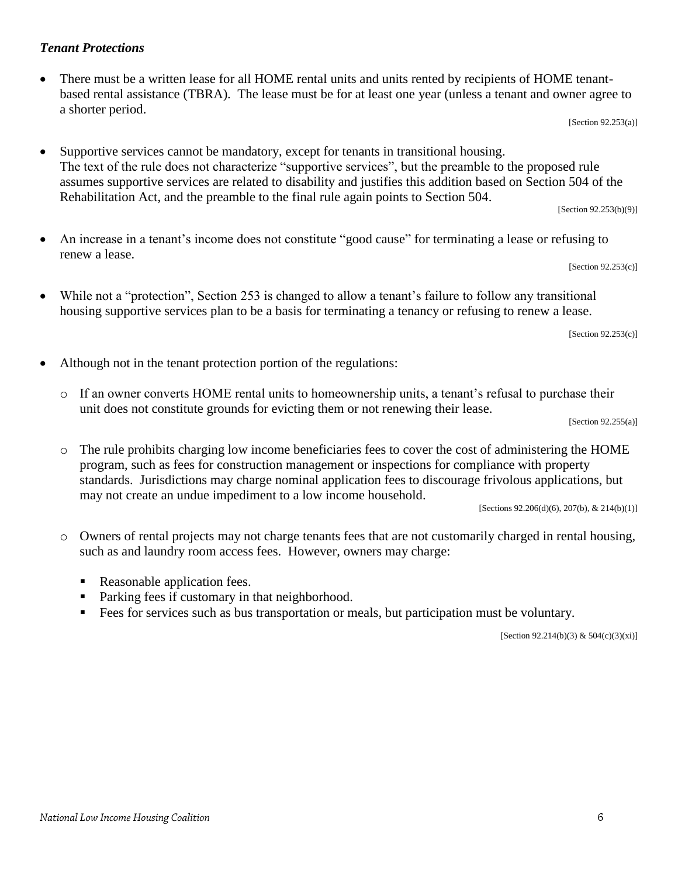## *Tenant Protections*

 There must be a written lease for all HOME rental units and units rented by recipients of HOME tenantbased rental assistance (TBRA). The lease must be for at least one year (unless a tenant and owner agree to a shorter period.

[Section 92.253(a)]

 Supportive services cannot be mandatory, except for tenants in transitional housing. The text of the rule does not characterize "supportive services", but the preamble to the proposed rule assumes supportive services are related to disability and justifies this addition based on Section 504 of the Rehabilitation Act, and the preamble to the final rule again points to Section 504. [Section 92.253(b)(9)]

 An increase in a tenant's income does not constitute "good cause" for terminating a lease or refusing to renew a lease.

[Section 92.253(c)]

 While not a "protection", Section 253 is changed to allow a tenant's failure to follow any transitional housing supportive services plan to be a basis for terminating a tenancy or refusing to renew a lease.

[Section 92.253(c)]

- Although not in the tenant protection portion of the regulations:
	- o If an owner converts HOME rental units to homeownership units, a tenant's refusal to purchase their unit does not constitute grounds for evicting them or not renewing their lease.

[Section  $92.255(a)$ ]

o The rule prohibits charging low income beneficiaries fees to cover the cost of administering the HOME program, such as fees for construction management or inspections for compliance with property standards. Jurisdictions may charge nominal application fees to discourage frivolous applications, but may not create an undue impediment to a low income household.

[Sections  $92.206(d)(6)$ ,  $207(b)$ , &  $214(b)(1)$ ]

- o Owners of rental projects may not charge tenants fees that are not customarily charged in rental housing, such as and laundry room access fees. However, owners may charge:
	- Reasonable application fees.
	- Parking fees if customary in that neighborhood.
	- Fees for services such as bus transportation or meals, but participation must be voluntary.

[Section 92.214(b)(3) & 504(c)(3)(xi)]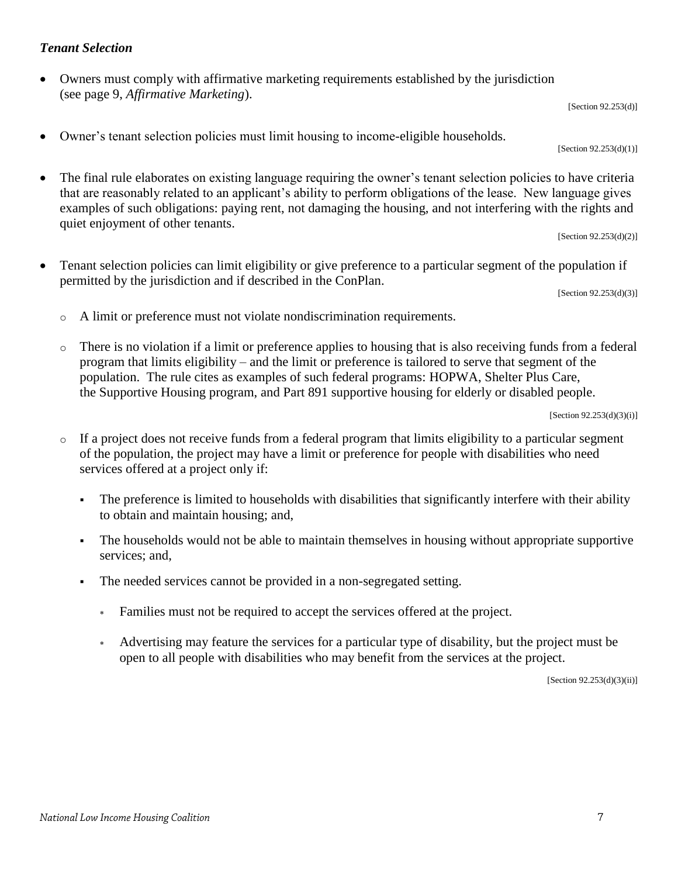## *Tenant Selection*

 Owners must comply with affirmative marketing requirements established by the jurisdiction (see page 9, *Affirmative Marketing*).

[Section 92.253(d)]

Owner's tenant selection policies must limit housing to income-eligible households.

[Section 92.253(d)(1)]

 The final rule elaborates on existing language requiring the owner's tenant selection policies to have criteria that are reasonably related to an applicant's ability to perform obligations of the lease. New language gives examples of such obligations: paying rent, not damaging the housing, and not interfering with the rights and quiet enjoyment of other tenants.

[Section 92.253(d)(2)]

 Tenant selection policies can limit eligibility or give preference to a particular segment of the population if permitted by the jurisdiction and if described in the ConPlan.

 $[Section 92.253(d)(3)]$ 

- o A limit or preference must not violate nondiscrimination requirements.
- o There is no violation if a limit or preference applies to housing that is also receiving funds from a federal program that limits eligibility – and the limit or preference is tailored to serve that segment of the population. The rule cites as examples of such federal programs: HOPWA, Shelter Plus Care, the Supportive Housing program, and Part 891 supportive housing for elderly or disabled people.

 $[Section 92.253(d)(3)(i)]$ 

- o If a project does not receive funds from a federal program that limits eligibility to a particular segment of the population, the project may have a limit or preference for people with disabilities who need services offered at a project only if:
	- The preference is limited to households with disabilities that significantly interfere with their ability to obtain and maintain housing; and,
	- The households would not be able to maintain themselves in housing without appropriate supportive services; and,
	- The needed services cannot be provided in a non-segregated setting.
		- Families must not be required to accept the services offered at the project.
		- Advertising may feature the services for a particular type of disability, but the project must be open to all people with disabilities who may benefit from the services at the project.

[Section 92.253(d)(3)(ii)]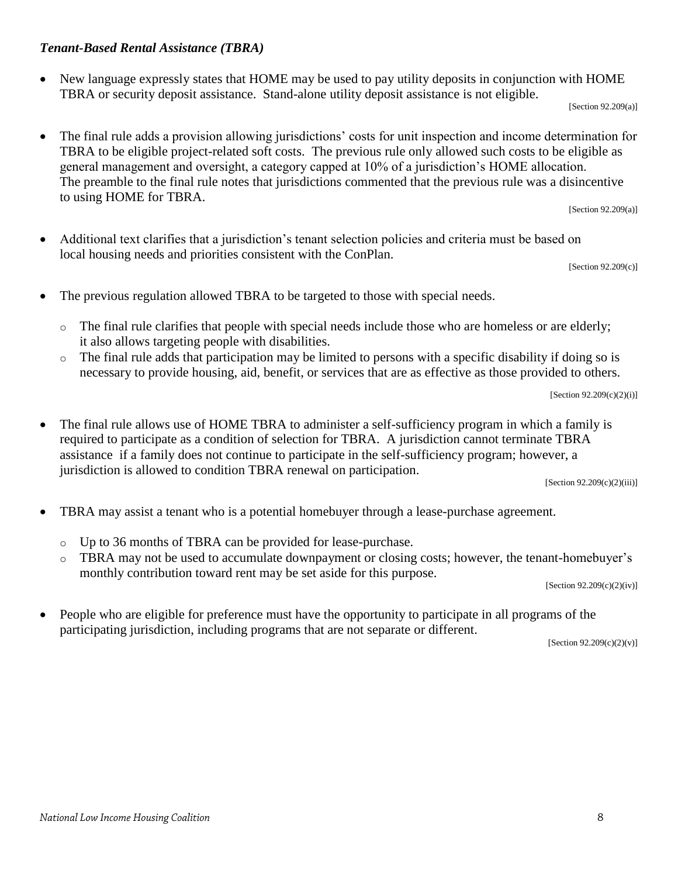#### National Low Income Housing Coalition

### *Tenant-Based Rental Assistance (TBRA)*

 New language expressly states that HOME may be used to pay utility deposits in conjunction with HOME TBRA or security deposit assistance. Stand-alone utility deposit assistance is not eligible.

 $[Section 92.209(a)]$ 

 The final rule adds a provision allowing jurisdictions' costs for unit inspection and income determination for TBRA to be eligible project-related soft costs. The previous rule only allowed such costs to be eligible as general management and oversight, a category capped at 10% of a jurisdiction's HOME allocation. The preamble to the final rule notes that jurisdictions commented that the previous rule was a disincentive to using HOME for TBRA.

[Section 92.209(a)]

 Additional text clarifies that a jurisdiction's tenant selection policies and criteria must be based on local housing needs and priorities consistent with the ConPlan.

[Section 92.209(c)]

- The previous regulation allowed TBRA to be targeted to those with special needs.
	- $\circ$  The final rule clarifies that people with special needs include those who are homeless or are elderly; it also allows targeting people with disabilities.
	- o The final rule adds that participation may be limited to persons with a specific disability if doing so is necessary to provide housing, aid, benefit, or services that are as effective as those provided to others.

 $[Section 92.209(c)(2)(i)]$ 

• The final rule allows use of HOME TBRA to administer a self-sufficiency program in which a family is required to participate as a condition of selection for TBRA. A jurisdiction cannot terminate TBRA assistance if a family does not continue to participate in the self-sufficiency program; however, a jurisdiction is allowed to condition TBRA renewal on participation.

[Section 92.209(c)(2)(iii)]

- TBRA may assist a tenant who is a potential homebuyer through a lease-purchase agreement.
	- o Up to 36 months of TBRA can be provided for lease-purchase.
	- o TBRA may not be used to accumulate downpayment or closing costs; however, the tenant-homebuyer's monthly contribution toward rent may be set aside for this purpose.

[Section 92.209(c)(2)(iv)]

 People who are eligible for preference must have the opportunity to participate in all programs of the participating jurisdiction, including programs that are not separate or different.

 $[Section 92.209(c)(2)(v)]$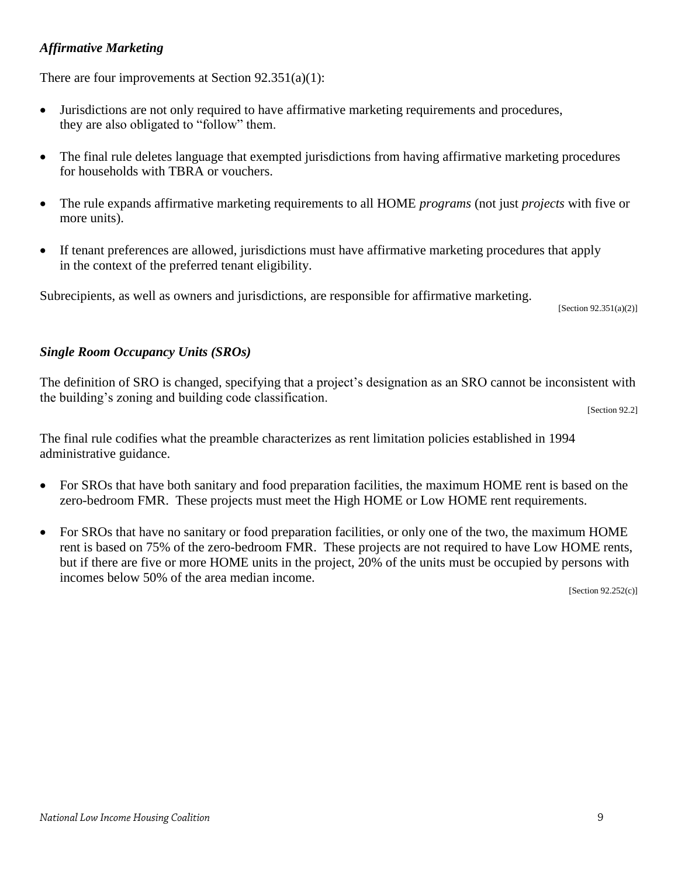## *Affirmative Marketing*

There are four improvements at Section  $92.351(a)(1)$ :

- Jurisdictions are not only required to have affirmative marketing requirements and procedures, they are also obligated to "follow" them.
- The final rule deletes language that exempted jurisdictions from having affirmative marketing procedures for households with TBRA or vouchers.
- The rule expands affirmative marketing requirements to all HOME *programs* (not just *projects* with five or more units).
- If tenant preferences are allowed, jurisdictions must have affirmative marketing procedures that apply in the context of the preferred tenant eligibility.

Subrecipients, as well as owners and jurisdictions, are responsible for affirmative marketing.  $\frac{1}{2}$  [Section 92.351(a)(2)]

## *Single Room Occupancy Units (SROs)*

The definition of SRO is changed, specifying that a project's designation as an SRO cannot be inconsistent with the building's zoning and building code classification.  $\mathcal{C}$  [Section 92.2]

The final rule codifies what the preamble characterizes as rent limitation policies established in 1994 administrative guidance.

- For SROs that have both sanitary and food preparation facilities, the maximum HOME rent is based on the zero-bedroom FMR. These projects must meet the High HOME or Low HOME rent requirements.
- For SROs that have no sanitary or food preparation facilities, or only one of the two, the maximum HOME rent is based on 75% of the zero-bedroom FMR. These projects are not required to have Low HOME rents, but if there are five or more HOME units in the project, 20% of the units must be occupied by persons with incomes below 50% of the area median income.

[Section 92.252(c)]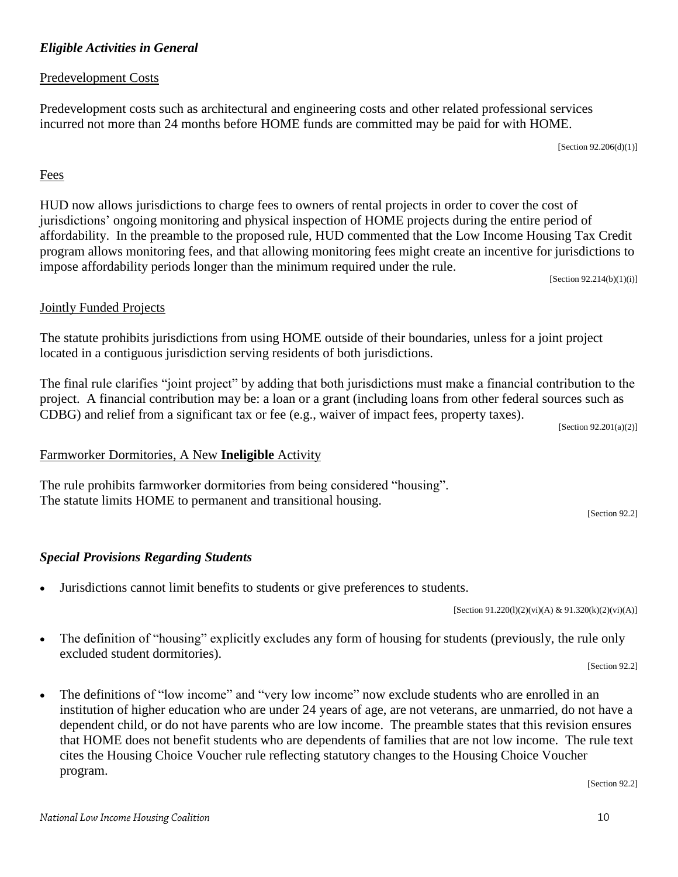## *Eligible Activities in General*

## Predevelopment Costs

Predevelopment costs such as architectural and engineering costs and other related professional services incurred not more than 24 months before HOME funds are committed may be paid for with HOME.

 $[Section 92.206(d)(1)]$ 

## Fees

HUD now allows jurisdictions to charge fees to owners of rental projects in order to cover the cost of jurisdictions' ongoing monitoring and physical inspection of HOME projects during the entire period of affordability. In the preamble to the proposed rule, HUD commented that the Low Income Housing Tax Credit program allows monitoring fees, and that allowing monitoring fees might create an incentive for jurisdictions to impose affordability periods longer than the minimum required under the rule.

[Section 92.214(b)(1)(i)]

## Jointly Funded Projects

The statute prohibits jurisdictions from using HOME outside of their boundaries, unless for a joint project located in a contiguous jurisdiction serving residents of both jurisdictions.

The final rule clarifies "joint project" by adding that both jurisdictions must make a financial contribution to the project. A financial contribution may be: a loan or a grant (including loans from other federal sources such as CDBG) and relief from a significant tax or fee (e.g., waiver of impact fees, property taxes).

[Section 92.201(a)(2)]

## Farmworker Dormitories, A New **Ineligible** Activity

The rule prohibits farmworker dormitories from being considered "housing". The statute limits HOME to permanent and transitional housing.

#### *Special Provisions Regarding Students*

Jurisdictions cannot limit benefits to students or give preferences to students.

[Section 91.220(1)(2)(vi)(A) & 91.320(k)(2)(vi)(A)]

- The definition of "housing" explicitly excludes any form of housing for students (previously, the rule only excluded student dormitories). [Section 92.2]
- The definitions of "low income" and "very low income" now exclude students who are enrolled in an institution of higher education who are under 24 years of age, are not veterans, are unmarried, do not have a dependent child, or do not have parents who are low income. The preamble states that this revision ensures that HOME does not benefit students who are dependents of families that are not low income. The rule text cites the Housing Choice Voucher rule reflecting statutory changes to the Housing Choice Voucher program.

[Section 92.2]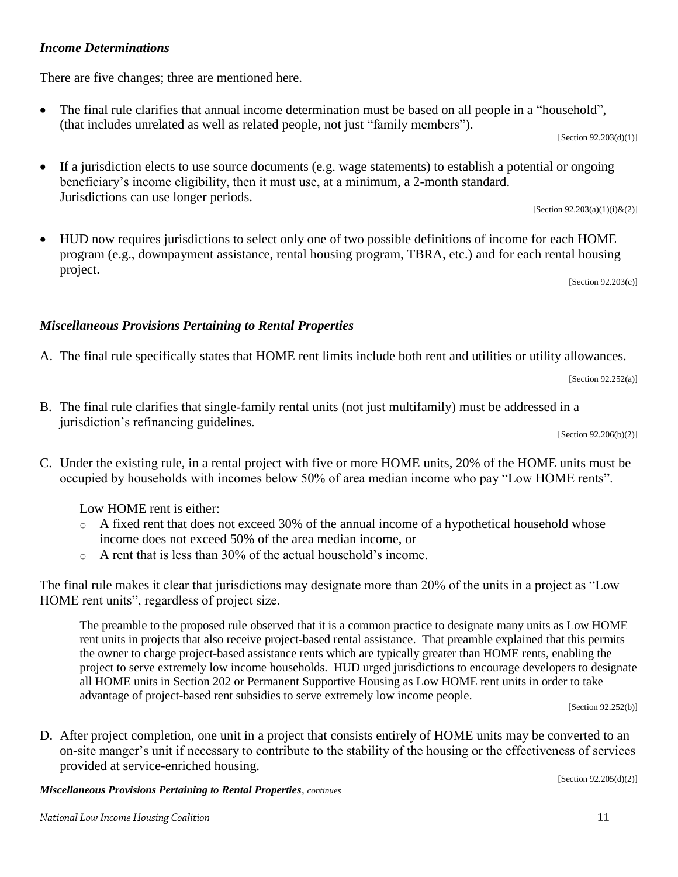## *Income Determinations*

There are five changes; three are mentioned here.

 The final rule clarifies that annual income determination must be based on all people in a "household", (that includes unrelated as well as related people, not just "family members").

 $[Section 92.203(d)(1)]$ 

 If a jurisdiction elects to use source documents (e.g. wage statements) to establish a potential or ongoing beneficiary's income eligibility, then it must use, at a minimum, a 2-month standard. Jurisdictions can use longer periods.  $[Section 92.203(a)(1)(i) \& (2)]$ 

 HUD now requires jurisdictions to select only one of two possible definitions of income for each HOME program (e.g., downpayment assistance, rental housing program, TBRA, etc.) and for each rental housing project.

[Section 92.203(c)]

## *Miscellaneous Provisions Pertaining to Rental Properties*

A. The final rule specifically states that HOME rent limits include both rent and utilities or utility allowances.

[Section 92.252(a)]

B. The final rule clarifies that single-family rental units (not just multifamily) must be addressed in a jurisdiction's refinancing guidelines.

[Section 92.206(b)(2)]

C. Under the existing rule, in a rental project with five or more HOME units, 20% of the HOME units must be occupied by households with incomes below 50% of area median income who pay "Low HOME rents".

Low HOME rent is either:

- o A fixed rent that does not exceed 30% of the annual income of a hypothetical household whose income does not exceed 50% of the area median income, or
- o A rent that is less than 30% of the actual household's income.

The final rule makes it clear that jurisdictions may designate more than 20% of the units in a project as "Low HOME rent units", regardless of project size.

The preamble to the proposed rule observed that it is a common practice to designate many units as Low HOME rent units in projects that also receive project-based rental assistance. That preamble explained that this permits the owner to charge project-based assistance rents which are typically greater than HOME rents, enabling the project to serve extremely low income households. HUD urged jurisdictions to encourage developers to designate all HOME units in Section 202 or Permanent Supportive Housing as Low HOME rent units in order to take advantage of project-based rent subsidies to serve extremely low income people.

[Section 92.252(b)]

D. After project completion, one unit in a project that consists entirely of HOME units may be converted to an on-site manger's unit if necessary to contribute to the stability of the housing or the effectiveness of services provided at service-enriched housing. [Section 92.205(d)(2)]

*Miscellaneous Provisions Pertaining to Rental Properties, continues*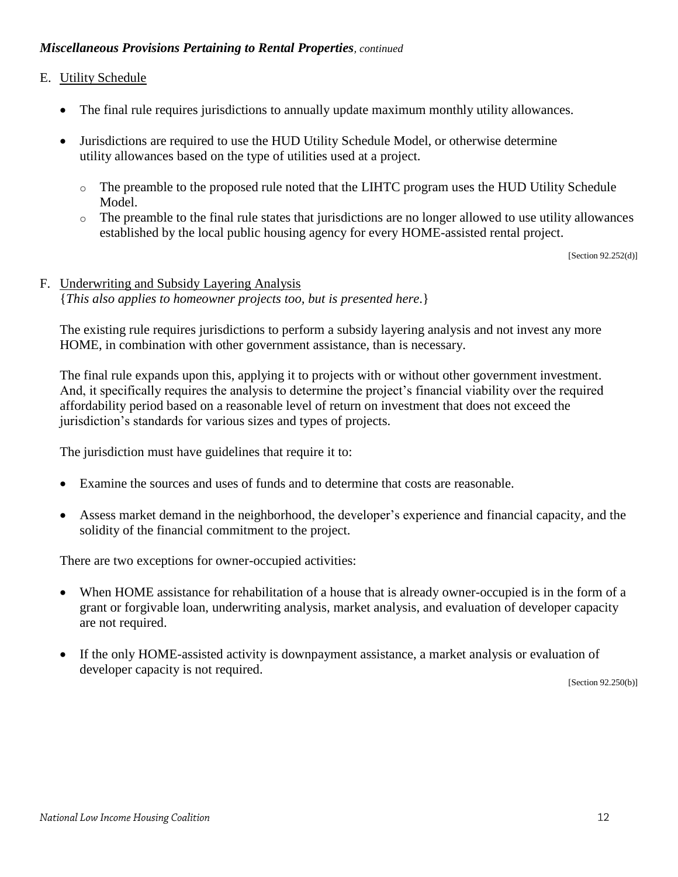## *Miscellaneous Provisions Pertaining to Rental Properties, continued*

#### E. Utility Schedule

- The final rule requires jurisdictions to annually update maximum monthly utility allowances.
- Jurisdictions are required to use the HUD Utility Schedule Model, or otherwise determine utility allowances based on the type of utilities used at a project.
	- o The preamble to the proposed rule noted that the LIHTC program uses the HUD Utility Schedule Model.
	- $\circ$  The preamble to the final rule states that jurisdictions are no longer allowed to use utility allowances established by the local public housing agency for every HOME-assisted rental project.

 $[Section 92.252(d)]$ 

## F. Underwriting and Subsidy Layering Analysis {*This also applies to homeowner projects too, but is presented here*.}

The existing rule requires jurisdictions to perform a subsidy layering analysis and not invest any more HOME, in combination with other government assistance, than is necessary.

The final rule expands upon this, applying it to projects with or without other government investment. And, it specifically requires the analysis to determine the project's financial viability over the required affordability period based on a reasonable level of return on investment that does not exceed the jurisdiction's standards for various sizes and types of projects.

The jurisdiction must have guidelines that require it to:

- Examine the sources and uses of funds and to determine that costs are reasonable.
- Assess market demand in the neighborhood, the developer's experience and financial capacity, and the solidity of the financial commitment to the project.

There are two exceptions for owner-occupied activities:

- When HOME assistance for rehabilitation of a house that is already owner-occupied is in the form of a grant or forgivable loan, underwriting analysis, market analysis, and evaluation of developer capacity are not required.
- If the only HOME-assisted activity is downpayment assistance, a market analysis or evaluation of developer capacity is not required.

[Section 92.250(b)]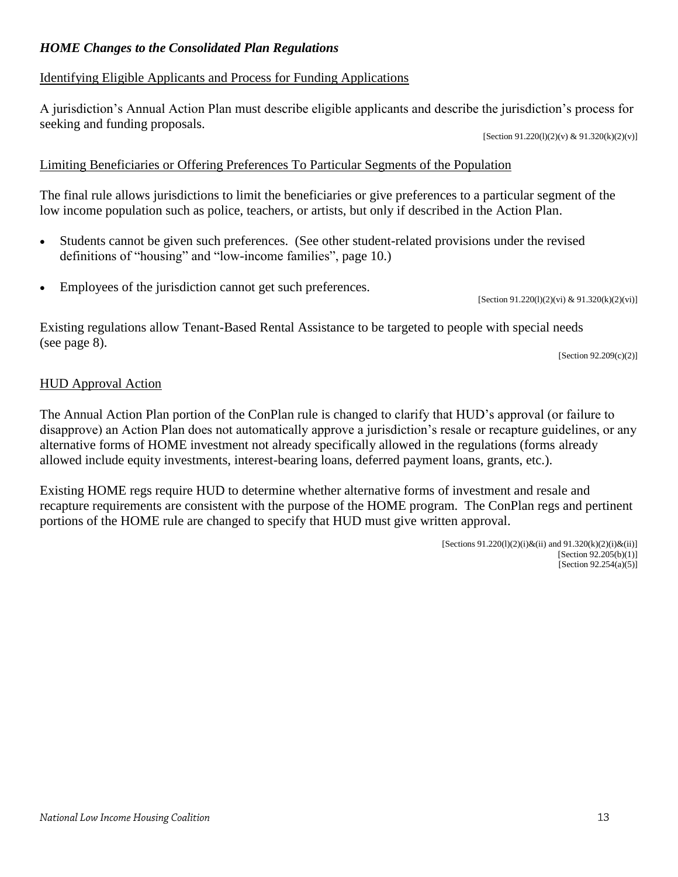## *HOME Changes to the Consolidated Plan Regulations*

### Identifying Eligible Applicants and Process for Funding Applications

A jurisdiction's Annual Action Plan must describe eligible applicants and describe the jurisdiction's process for seeking and funding proposals.

[Section 91.220(1)(2)(v) & 91.320(k)(2)(v)]

#### Limiting Beneficiaries or Offering Preferences To Particular Segments of the Population

The final rule allows jurisdictions to limit the beneficiaries or give preferences to a particular segment of the low income population such as police, teachers, or artists, but only if described in the Action Plan.

- Students cannot be given such preferences. (See other student-related provisions under the revised definitions of "housing" and "low-income families", page 10.)
- Employees of the jurisdiction cannot get such preferences.

[Section 91.220(1)(2)(vi) & 91.320(k)(2)(vi)]

Existing regulations allow Tenant-Based Rental Assistance to be targeted to people with special needs (see page 8).

[Section 92.209(c)(2)]

#### HUD Approval Action

The Annual Action Plan portion of the ConPlan rule is changed to clarify that HUD's approval (or failure to disapprove) an Action Plan does not automatically approve a jurisdiction's resale or recapture guidelines, or any alternative forms of HOME investment not already specifically allowed in the regulations (forms already allowed include equity investments, interest-bearing loans, deferred payment loans, grants, etc.).

Existing HOME regs require HUD to determine whether alternative forms of investment and resale and recapture requirements are consistent with the purpose of the HOME program. The ConPlan regs and pertinent portions of the HOME rule are changed to specify that HUD must give written approval.

> [Sections  $91.220(1)(2)(i)$ &(ii) and  $91.320(k)(2)(i)$ &(ii)] [Section 92.205(b)(1)]  $[Section 92.254(a)(5)]$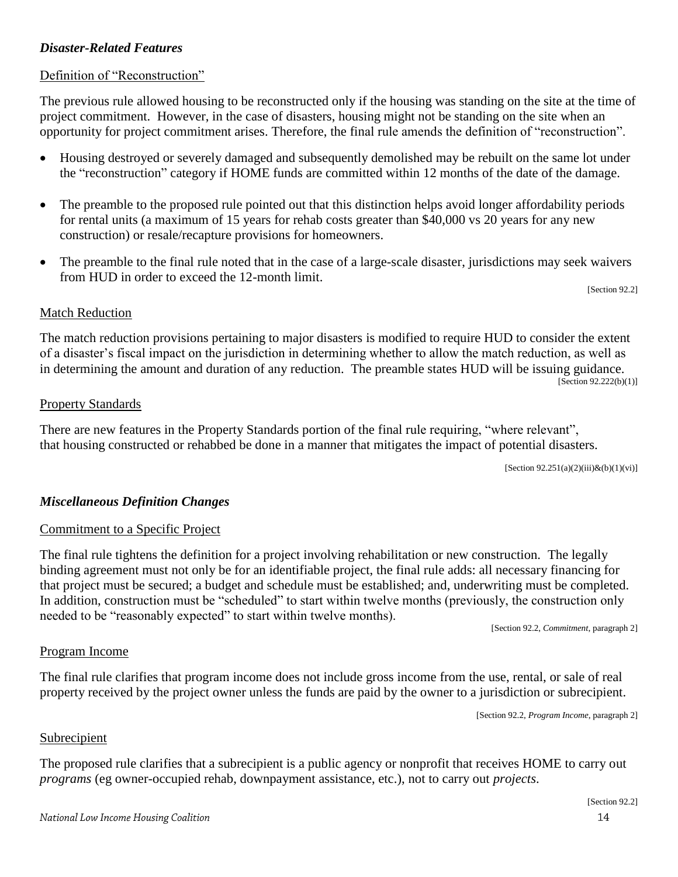## *Disaster-Related Features*

### Definition of "Reconstruction"

The previous rule allowed housing to be reconstructed only if the housing was standing on the site at the time of project commitment. However, in the case of disasters, housing might not be standing on the site when an opportunity for project commitment arises. Therefore, the final rule amends the definition of "reconstruction".

- Housing destroyed or severely damaged and subsequently demolished may be rebuilt on the same lot under the "reconstruction" category if HOME funds are committed within 12 months of the date of the damage.
- The preamble to the proposed rule pointed out that this distinction helps avoid longer affordability periods for rental units (a maximum of 15 years for rehab costs greater than \$40,000 vs 20 years for any new construction) or resale/recapture provisions for homeowners.
- The preamble to the final rule noted that in the case of a large-scale disaster, jurisdictions may seek waivers from HUD in order to exceed the 12-month limit.

[Section 92.2]

#### Match Reduction

The match reduction provisions pertaining to major disasters is modified to require HUD to consider the extent of a disaster's fiscal impact on the jurisdiction in determining whether to allow the match reduction, as well as in determining the amount and duration of any reduction. The preamble states HUD will be issuing guidance.  $[Section 92.222(b)(1)]$ 

#### Property Standards

There are new features in the Property Standards portion of the final rule requiring, "where relevant", that housing constructed or rehabbed be done in a manner that mitigates the impact of potential disasters.

 $[Section 92.251(a)(2)(iii) \& (b)(1)(vi)]$ 

## *Miscellaneous Definition Changes*

#### Commitment to a Specific Project

The final rule tightens the definition for a project involving rehabilitation or new construction. The legally binding agreement must not only be for an identifiable project, the final rule adds: all necessary financing for that project must be secured; a budget and schedule must be established; and, underwriting must be completed. In addition, construction must be "scheduled" to start within twelve months (previously, the construction only needed to be "reasonably expected" to start within twelve months).

[Section 92.2, *Commitment*, paragraph 2]

## Program Income

The final rule clarifies that program income does not include gross income from the use, rental, or sale of real property received by the project owner unless the funds are paid by the owner to a jurisdiction or subrecipient.

[Section 92.2, *Program Income*, paragraph 2]

#### Subrecipient

The proposed rule clarifies that a subrecipient is a public agency or nonprofit that receives HOME to carry out *programs* (eg owner-occupied rehab, downpayment assistance, etc.), not to carry out *projects*.  $\overline{\phantom{a}}$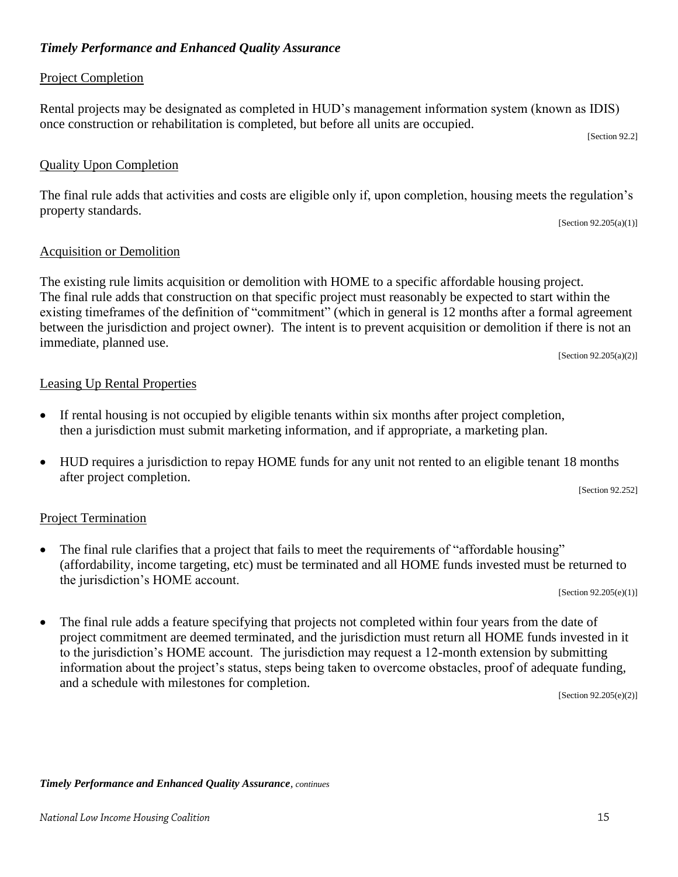## *Timely Performance and Enhanced Quality Assurance*

## Project Completion

Rental projects may be designated as completed in HUD's management information system (known as IDIS) once construction or rehabilitation is completed, but before all units are occupied.

[Section 92.2]

## Quality Upon Completion

The final rule adds that activities and costs are eligible only if, upon completion, housing meets the regulation's property standards.

[Section  $92.205(a)(1)$ ]

## Acquisition or Demolition

The existing rule limits acquisition or demolition with HOME to a specific affordable housing project. The final rule adds that construction on that specific project must reasonably be expected to start within the existing timeframes of the definition of "commitment" (which in general is 12 months after a formal agreement between the jurisdiction and project owner). The intent is to prevent acquisition or demolition if there is not an immediate, planned use.

[Section 92.205(a)(2)]

## Leasing Up Rental Properties

- If rental housing is not occupied by eligible tenants within six months after project completion, then a jurisdiction must submit marketing information, and if appropriate, a marketing plan.
- HUD requires a jurisdiction to repay HOME funds for any unit not rented to an eligible tenant 18 months after project completion.

[Section 92.252]

## Project Termination

• The final rule clarifies that a project that fails to meet the requirements of "affordable housing" (affordability, income targeting, etc) must be terminated and all HOME funds invested must be returned to the jurisdiction's HOME account.

[Section 92.205(e)(1)]

• The final rule adds a feature specifying that projects not completed within four years from the date of project commitment are deemed terminated, and the jurisdiction must return all HOME funds invested in it to the jurisdiction's HOME account. The jurisdiction may request a 12-month extension by submitting information about the project's status, steps being taken to overcome obstacles, proof of adequate funding, and a schedule with milestones for completion.

[Section 92.205(e)(2)]

*Timely Performance and Enhanced Quality Assurance, continues*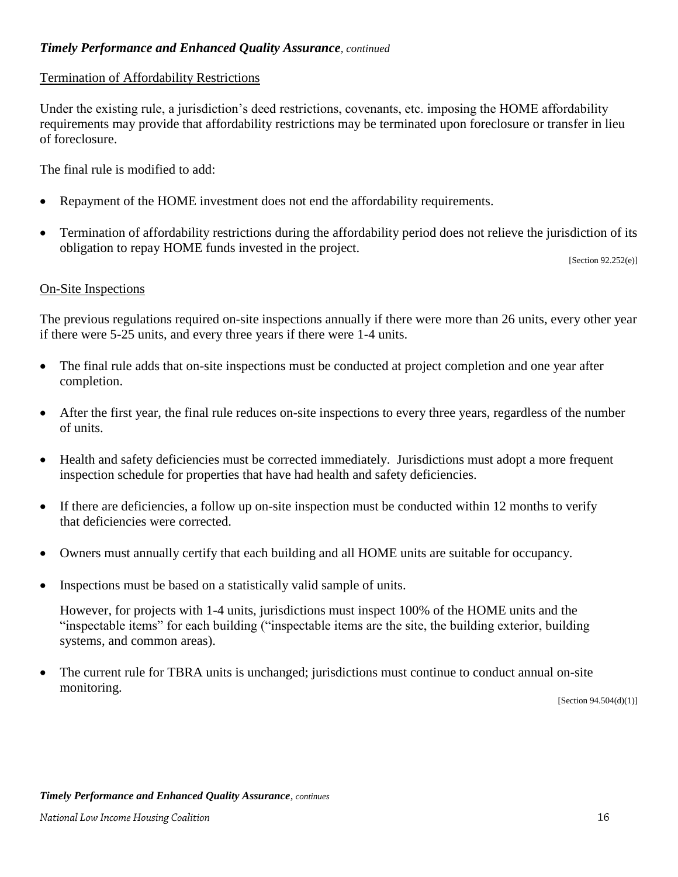## *Timely Performance and Enhanced Quality Assurance, continued*

### Termination of Affordability Restrictions

Under the existing rule, a jurisdiction's deed restrictions, covenants, etc. imposing the HOME affordability requirements may provide that affordability restrictions may be terminated upon foreclosure or transfer in lieu of foreclosure.

The final rule is modified to add:

- Repayment of the HOME investment does not end the affordability requirements.
- Termination of affordability restrictions during the affordability period does not relieve the jurisdiction of its obligation to repay HOME funds invested in the project.

[Section 92.252(e)]

#### On-Site Inspections

The previous regulations required on-site inspections annually if there were more than 26 units, every other year if there were 5-25 units, and every three years if there were 1-4 units.

- The final rule adds that on-site inspections must be conducted at project completion and one year after completion.
- After the first year, the final rule reduces on-site inspections to every three years, regardless of the number of units.
- Health and safety deficiencies must be corrected immediately. Jurisdictions must adopt a more frequent inspection schedule for properties that have had health and safety deficiencies.
- If there are deficiencies, a follow up on-site inspection must be conducted within 12 months to verify that deficiencies were corrected.
- Owners must annually certify that each building and all HOME units are suitable for occupancy.
- Inspections must be based on a statistically valid sample of units.

However, for projects with 1-4 units, jurisdictions must inspect 100% of the HOME units and the "inspectable items" for each building ("inspectable items are the site, the building exterior, building systems, and common areas).

• The current rule for TBRA units is unchanged; jurisdictions must continue to conduct annual on-site monitoring.

[Section 94.504(d)(1)]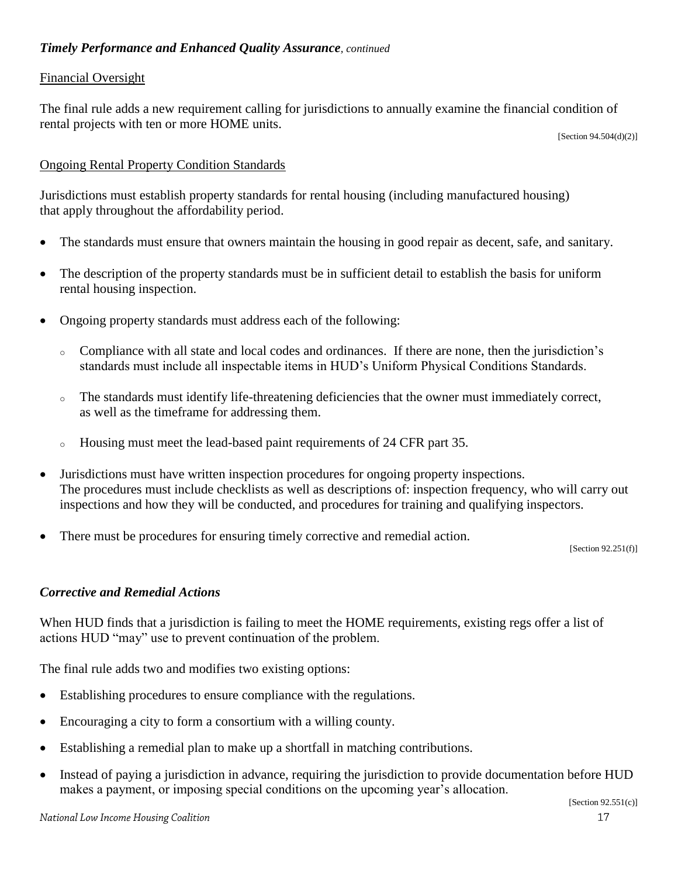### Financial Oversight

The final rule adds a new requirement calling for jurisdictions to annually examine the financial condition of rental projects with ten or more HOME units.

[Section 94.504(d)(2)]

## Ongoing Rental Property Condition Standards

Jurisdictions must establish property standards for rental housing (including manufactured housing) that apply throughout the affordability period.

- The standards must ensure that owners maintain the housing in good repair as decent, safe, and sanitary.
- The description of the property standards must be in sufficient detail to establish the basis for uniform rental housing inspection.
- Ongoing property standards must address each of the following:
	- <sup>o</sup> Compliance with all state and local codes and ordinances. If there are none, then the jurisdiction's standards must include all inspectable items in HUD's Uniform Physical Conditions Standards.
	- <sup>o</sup> The standards must identify life-threatening deficiencies that the owner must immediately correct, as well as the timeframe for addressing them.
	- <sup>o</sup> Housing must meet the lead-based paint requirements of 24 CFR part 35.
- Jurisdictions must have written inspection procedures for ongoing property inspections. The procedures must include checklists as well as descriptions of: inspection frequency, who will carry out inspections and how they will be conducted, and procedures for training and qualifying inspectors.
- There must be procedures for ensuring timely corrective and remedial action.

[Section 92.251(f)]

## *Corrective and Remedial Actions*

When HUD finds that a jurisdiction is failing to meet the HOME requirements, existing regs offer a list of actions HUD "may" use to prevent continuation of the problem.

The final rule adds two and modifies two existing options:

- Establishing procedures to ensure compliance with the regulations.
- Encouraging a city to form a consortium with a willing county.
- Establishing a remedial plan to make up a shortfall in matching contributions.
- Instead of paying a jurisdiction in advance, requiring the jurisdiction to provide documentation before HUD makes a payment, or imposing special conditions on the upcoming year's allocation.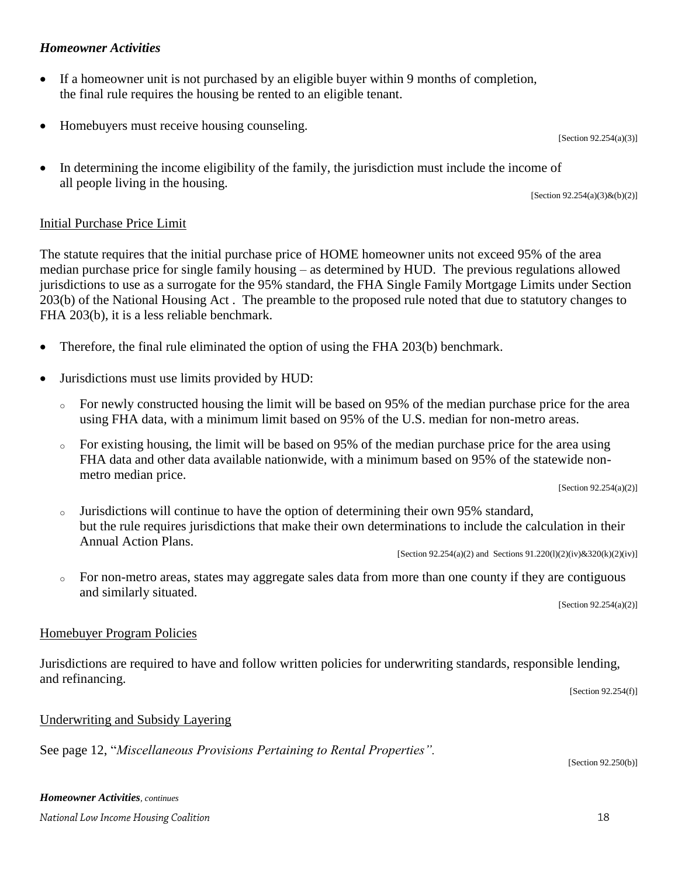## *Homeowner Activities*

- If a homeowner unit is not purchased by an eligible buyer within 9 months of completion, the final rule requires the housing be rented to an eligible tenant.
- Homebuyers must receive housing counseling.

[Section 92.254(a)(3)]

• In determining the income eligibility of the family, the jurisdiction must include the income of all people living in the housing.

[Section 92.254(a)(3)&(b)(2)]

## Initial Purchase Price Limit

The statute requires that the initial purchase price of HOME homeowner units not exceed 95% of the area median purchase price for single family housing – as determined by HUD. The previous regulations allowed jurisdictions to use as a surrogate for the 95% standard, the FHA Single Family Mortgage Limits under Section 203(b) of the National Housing Act . The preamble to the proposed rule noted that due to statutory changes to FHA 203(b), it is a less reliable benchmark.

- Therefore, the final rule eliminated the option of using the FHA 203(b) benchmark.
- Jurisdictions must use limits provided by HUD:
	- $\circ$  For newly constructed housing the limit will be based on 95% of the median purchase price for the area using FHA data, with a minimum limit based on 95% of the U.S. median for non-metro areas.
	- <sup>o</sup> For existing housing, the limit will be based on 95% of the median purchase price for the area using FHA data and other data available nationwide, with a minimum based on 95% of the statewide nonmetro median price.

[Section 92.254(a)(2)]

<sup>o</sup> Jurisdictions will continue to have the option of determining their own 95% standard, but the rule requires jurisdictions that make their own determinations to include the calculation in their Annual Action Plans.

[Section 92.254(a)(2) and Sections  $91.220(1)(2)(iv)$ &320(k)(2)(iv)]

<sup>o</sup> For non-metro areas, states may aggregate sales data from more than one county if they are contiguous and similarly situated.

[Section 92.254(a)(2)]

#### Homebuyer Program Policies

Jurisdictions are required to have and follow written policies for underwriting standards, responsible lending, and refinancing.

[Section 92.254(f)]

#### Underwriting and Subsidy Layering

See page 12, "*Miscellaneous Provisions Pertaining to Rental Properties".*

[Section 92.250(b)]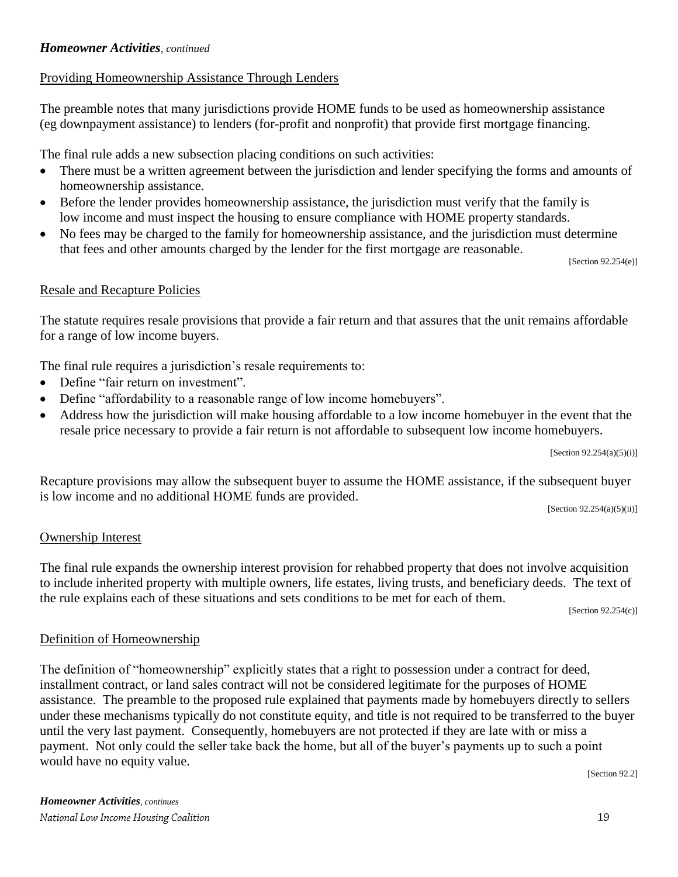## *Homeowner Activities, continued*

## Providing Homeownership Assistance Through Lenders

The preamble notes that many jurisdictions provide HOME funds to be used as homeownership assistance (eg downpayment assistance) to lenders (for-profit and nonprofit) that provide first mortgage financing.

The final rule adds a new subsection placing conditions on such activities:

- There must be a written agreement between the jurisdiction and lender specifying the forms and amounts of homeownership assistance.
- Before the lender provides homeownership assistance, the jurisdiction must verify that the family is low income and must inspect the housing to ensure compliance with HOME property standards.
- No fees may be charged to the family for homeownership assistance, and the jurisdiction must determine that fees and other amounts charged by the lender for the first mortgage are reasonable.

[Section 92.254(e)]

## Resale and Recapture Policies

The statute requires resale provisions that provide a fair return and that assures that the unit remains affordable for a range of low income buyers.

The final rule requires a jurisdiction's resale requirements to:

- Define "fair return on investment".
- Define "affordability to a reasonable range of low income homebuyers".
- Address how the jurisdiction will make housing affordable to a low income homebuyer in the event that the resale price necessary to provide a fair return is not affordable to subsequent low income homebuyers.

 $[Section 92.254(a)(5)(i)]$ 

Recapture provisions may allow the subsequent buyer to assume the HOME assistance, if the subsequent buyer is low income and no additional HOME funds are provided.

[Section 92.254(a)(5)(ii)]

## Ownership Interest

The final rule expands the ownership interest provision for rehabbed property that does not involve acquisition to include inherited property with multiple owners, life estates, living trusts, and beneficiary deeds. The text of the rule explains each of these situations and sets conditions to be met for each of them.

[Section 92.254(c)]

## Definition of Homeownership

The definition of "homeownership" explicitly states that a right to possession under a contract for deed, installment contract, or land sales contract will not be considered legitimate for the purposes of HOME assistance. The preamble to the proposed rule explained that payments made by homebuyers directly to sellers under these mechanisms typically do not constitute equity, and title is not required to be transferred to the buyer until the very last payment. Consequently, homebuyers are not protected if they are late with or miss a payment. Not only could the seller take back the home, but all of the buyer's payments up to such a point would have no equity value.

[Section 92.2]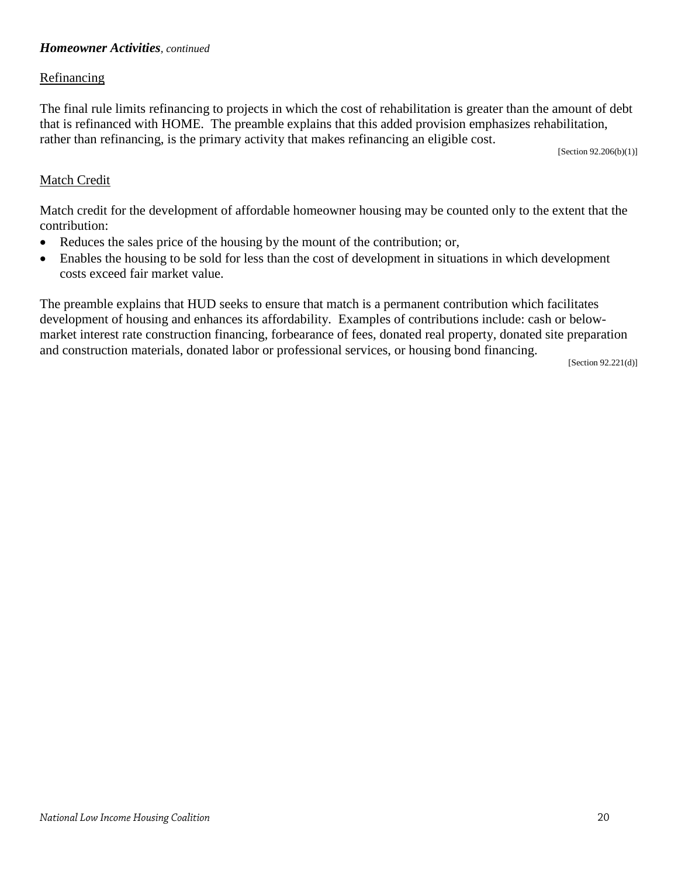## *Homeowner Activities, continued*

#### Refinancing

The final rule limits refinancing to projects in which the cost of rehabilitation is greater than the amount of debt that is refinanced with HOME. The preamble explains that this added provision emphasizes rehabilitation, rather than refinancing, is the primary activity that makes refinancing an eligible cost.  $\mathcal{L}$  [Section 92.206(b)(1)]

### Match Credit

Match credit for the development of affordable homeowner housing may be counted only to the extent that the contribution:

- Reduces the sales price of the housing by the mount of the contribution; or,
- Enables the housing to be sold for less than the cost of development in situations in which development costs exceed fair market value.

The preamble explains that HUD seeks to ensure that match is a permanent contribution which facilitates development of housing and enhances its affordability. Examples of contributions include: cash or belowmarket interest rate construction financing, forbearance of fees, donated real property, donated site preparation and construction materials, donated labor or professional services, or housing bond financing.

[Section 92.221(d)]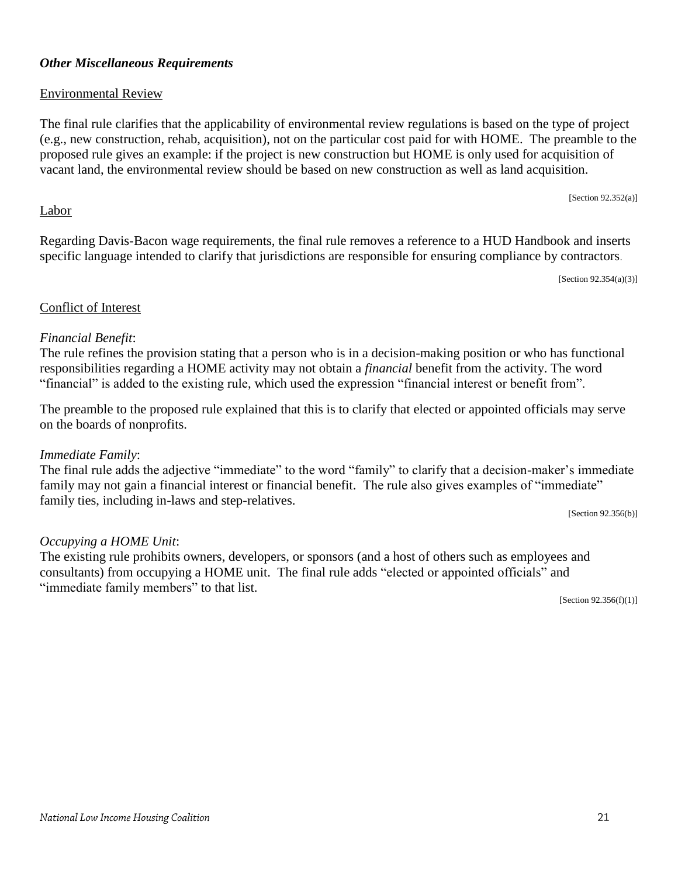### *Other Miscellaneous Requirements*

### Environmental Review

The final rule clarifies that the applicability of environmental review regulations is based on the type of project (e.g., new construction, rehab, acquisition), not on the particular cost paid for with HOME. The preamble to the proposed rule gives an example: if the project is new construction but HOME is only used for acquisition of vacant land, the environmental review should be based on new construction as well as land acquisition.

[Section 92.352(a)]

#### Labor

Regarding Davis-Bacon wage requirements, the final rule removes a reference to a HUD Handbook and inserts specific language intended to clarify that jurisdictions are responsible for ensuring compliance by contractors.

[Section 92.354(a)(3)]

#### Conflict of Interest

#### *Financial Benefit*:

The rule refines the provision stating that a person who is in a decision-making position or who has functional responsibilities regarding a HOME activity may not obtain a *financial* benefit from the activity. The word "financial" is added to the existing rule, which used the expression "financial interest or benefit from".

The preamble to the proposed rule explained that this is to clarify that elected or appointed officials may serve on the boards of nonprofits.

#### *Immediate Family*:

The final rule adds the adjective "immediate" to the word "family" to clarify that a decision-maker's immediate family may not gain a financial interest or financial benefit. The rule also gives examples of "immediate" family ties, including in-laws and step-relatives.

[Section 92.356(b)]

## *Occupying a HOME Unit*:

The existing rule prohibits owners, developers, or sponsors (and a host of others such as employees and consultants) from occupying a HOME unit. The final rule adds "elected or appointed officials" and "immediate family members" to that list.  $[Section 92.356(f)(1)]$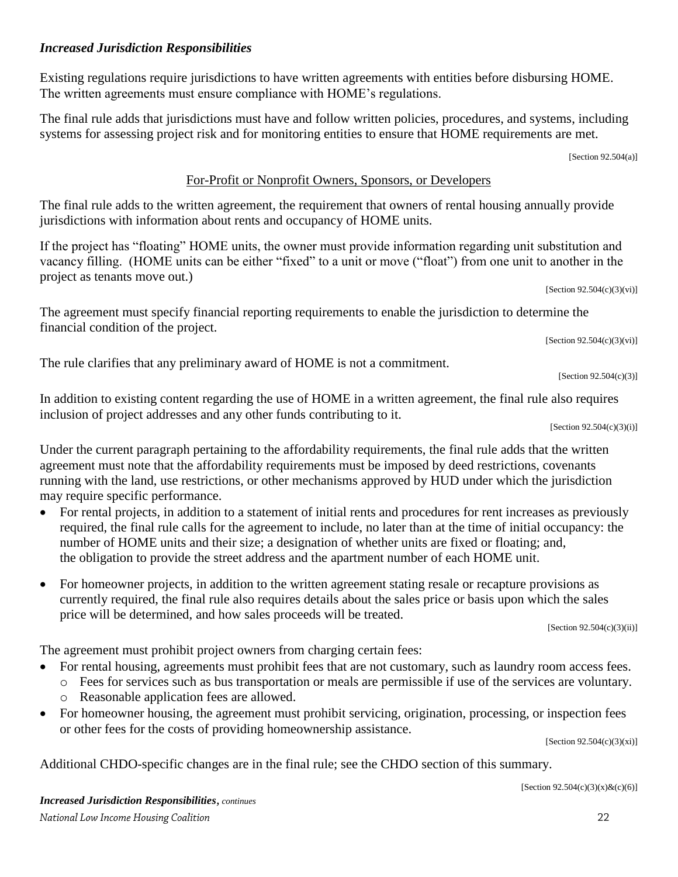$22$ 

## *Increased Jurisdiction Responsibilities*

financial condition of the project.

Existing regulations require jurisdictions to have written agreements with entities before disbursing HOME. The written agreements must ensure compliance with HOME's regulations.

The final rule adds that jurisdictions must have and follow written policies, procedures, and systems, including systems for assessing project risk and for monitoring entities to ensure that HOME requirements are met.

[Section 92.504(a)]

## For-Profit or Nonprofit Owners, Sponsors, or Developers

The final rule adds to the written agreement, the requirement that owners of rental housing annually provide jurisdictions with information about rents and occupancy of HOME units.

If the project has "floating" HOME units, the owner must provide information regarding unit substitution and vacancy filling. (HOME units can be either "fixed" to a unit or move ("float") from one unit to another in the project as tenants move out.)

The agreement must specify financial reporting requirements to enable the jurisdiction to determine the

The rule clarifies that any preliminary award of HOME is not a commitment.

In addition to existing content regarding the use of HOME in a written agreement, the final rule also requires inclusion of project addresses and any other funds contributing to it.

 $[Section 92.504(c)(3)(i)]$ 

[Section 92.504(c)(3)]

Under the current paragraph pertaining to the affordability requirements, the final rule adds that the written agreement must note that the affordability requirements must be imposed by deed restrictions, covenants running with the land, use restrictions, or other mechanisms approved by HUD under which the jurisdiction may require specific performance.

- For rental projects, in addition to a statement of initial rents and procedures for rent increases as previously required, the final rule calls for the agreement to include, no later than at the time of initial occupancy: the number of HOME units and their size; a designation of whether units are fixed or floating; and, the obligation to provide the street address and the apartment number of each HOME unit.
- For homeowner projects, in addition to the written agreement stating resale or recapture provisions as currently required, the final rule also requires details about the sales price or basis upon which the sales price will be determined, and how sales proceeds will be treated.

[Section 92.504(c)(3)(ii)]

The agreement must prohibit project owners from charging certain fees:

- For rental housing, agreements must prohibit fees that are not customary, such as laundry room access fees.
	- o Fees for services such as bus transportation or meals are permissible if use of the services are voluntary. o Reasonable application fees are allowed.
- For homeowner housing, the agreement must prohibit servicing, origination, processing, or inspection fees or other fees for the costs of providing homeownership assistance.

 $[Section 92.504(c)(3)(xi)]$ 

Additional CHDO-specific changes are in the final rule; see the CHDO section of this summary.

[Section 92.504(c)(3)(x)&(c)(6)]

 $[Section 92.504(c)(3)(vi)]$ 

 $[Section 92.504(c)(3)(vi)]$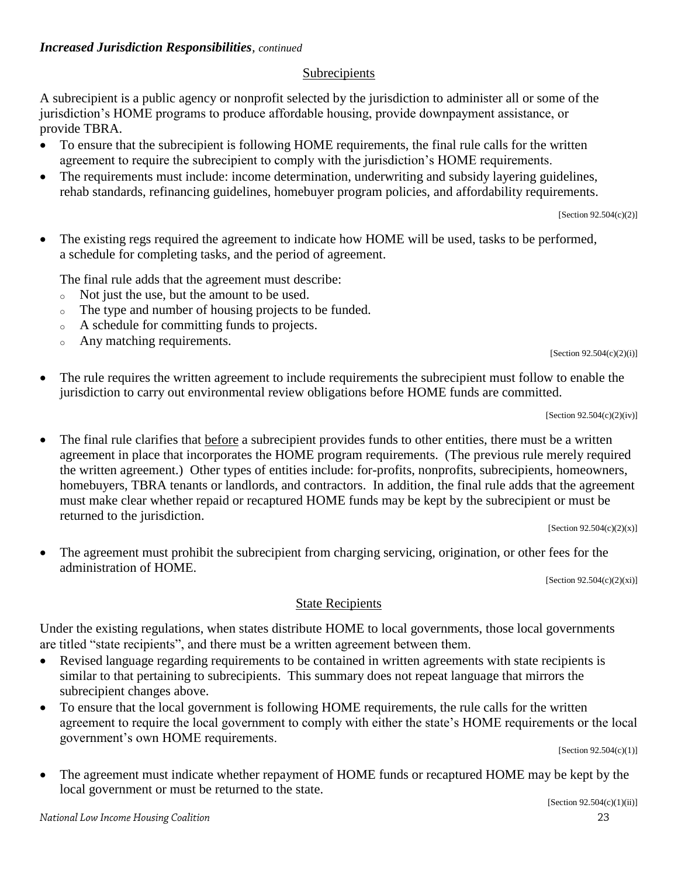## Subrecipients

A subrecipient is a public agency or nonprofit selected by the jurisdiction to administer all or some of the jurisdiction's HOME programs to produce affordable housing, provide downpayment assistance, or provide TBRA.

- To ensure that the subrecipient is following HOME requirements, the final rule calls for the written agreement to require the subrecipient to comply with the jurisdiction's HOME requirements.
- The requirements must include: income determination, underwriting and subsidy layering guidelines, rehab standards, refinancing guidelines, homebuyer program policies, and affordability requirements.

[Section 92.504(c)(2)]

• The existing regs required the agreement to indicate how HOME will be used, tasks to be performed, a schedule for completing tasks, and the period of agreement.

The final rule adds that the agreement must describe:

- <sup>o</sup> Not just the use, but the amount to be used.
- <sup>o</sup> The type and number of housing projects to be funded.
- <sup>o</sup> A schedule for committing funds to projects.
- <sup>o</sup> Any matching requirements.

[Section 92.504(c)(2)(i)]

 The rule requires the written agreement to include requirements the subrecipient must follow to enable the jurisdiction to carry out environmental review obligations before HOME funds are committed.

[Section 92.504(c)(2)(iv)]

• The final rule clarifies that before a subrecipient provides funds to other entities, there must be a written agreement in place that incorporates the HOME program requirements. (The previous rule merely required the written agreement.) Other types of entities include: for-profits, nonprofits, subrecipients, homeowners, homebuyers, TBRA tenants or landlords, and contractors. In addition, the final rule adds that the agreement must make clear whether repaid or recaptured HOME funds may be kept by the subrecipient or must be returned to the jurisdiction.

[Section  $92.504(c)(2)(x)$ ]

 The agreement must prohibit the subrecipient from charging servicing, origination, or other fees for the administration of HOME.

[Section 92.504(c)(2)(xi)]

## State Recipients

Under the existing regulations, when states distribute HOME to local governments, those local governments are titled "state recipients", and there must be a written agreement between them.

- Revised language regarding requirements to be contained in written agreements with state recipients is similar to that pertaining to subrecipients. This summary does not repeat language that mirrors the subrecipient changes above.
- To ensure that the local government is following HOME requirements, the rule calls for the written agreement to require the local government to comply with either the state's HOME requirements or the local government's own HOME requirements.

[Section 92.504(c)(1)]

 The agreement must indicate whether repayment of HOME funds or recaptured HOME may be kept by the local government or must be returned to the state.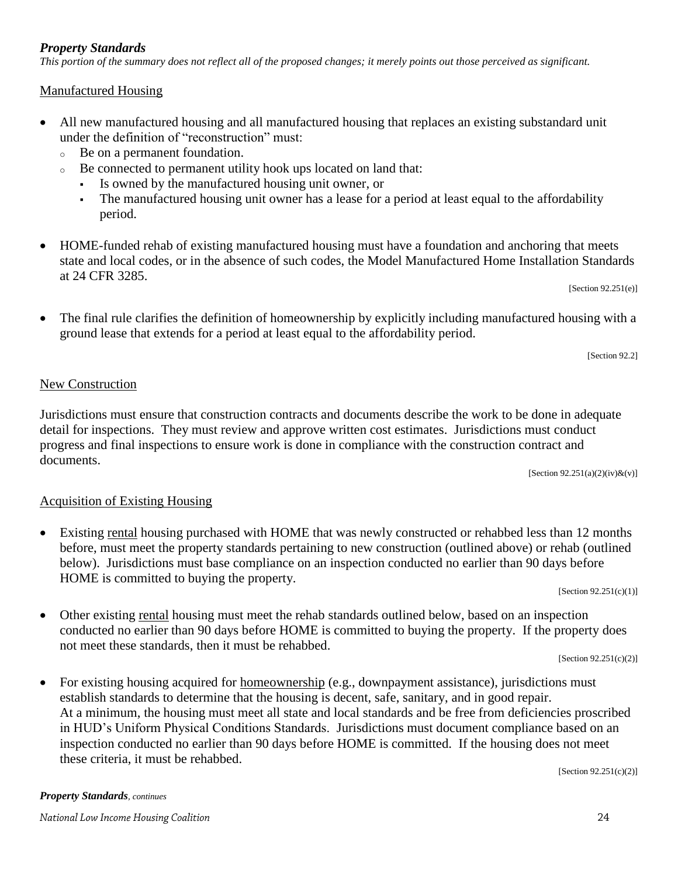## *Property Standards*

*This portion of the summary does not reflect all of the proposed changes; it merely points out those perceived as significant.*

## Manufactured Housing

- All new manufactured housing and all manufactured housing that replaces an existing substandard unit under the definition of "reconstruction" must:
	- <sup>o</sup> Be on a permanent foundation.
	- <sup>o</sup> Be connected to permanent utility hook ups located on land that:
		- Is owned by the manufactured housing unit owner, or
		- The manufactured housing unit owner has a lease for a period at least equal to the affordability period.
- HOME-funded rehab of existing manufactured housing must have a foundation and anchoring that meets state and local codes, or in the absence of such codes, the Model Manufactured Home Installation Standards at 24 CFR 3285.

[Section 92.251(e)]

 The final rule clarifies the definition of homeownership by explicitly including manufactured housing with a ground lease that extends for a period at least equal to the affordability period.

[Section 92.2]

## New Construction

Jurisdictions must ensure that construction contracts and documents describe the work to be done in adequate detail for inspections. They must review and approve written cost estimates. Jurisdictions must conduct progress and final inspections to ensure work is done in compliance with the construction contract and documents.

[Section 92.251(a)(2)(iv)&(v)]

## Acquisition of Existing Housing

 Existing rental housing purchased with HOME that was newly constructed or rehabbed less than 12 months before, must meet the property standards pertaining to new construction (outlined above) or rehab (outlined below). Jurisdictions must base compliance on an inspection conducted no earlier than 90 days before HOME is committed to buying the property.

 $[Section 92.251(c)(1)]$ 

 Other existing rental housing must meet the rehab standards outlined below, based on an inspection conducted no earlier than 90 days before HOME is committed to buying the property. If the property does not meet these standards, then it must be rehabbed.

[Section 92.251(c)(2)]

• For existing housing acquired for homeownership (e.g., downpayment assistance), jurisdictions must establish standards to determine that the housing is decent, safe, sanitary, and in good repair. At a minimum, the housing must meet all state and local standards and be free from deficiencies proscribed in HUD's Uniform Physical Conditions Standards. Jurisdictions must document compliance based on an inspection conducted no earlier than 90 days before HOME is committed. If the housing does not meet these criteria, it must be rehabbed.

[Section 92.251(c)(2)]